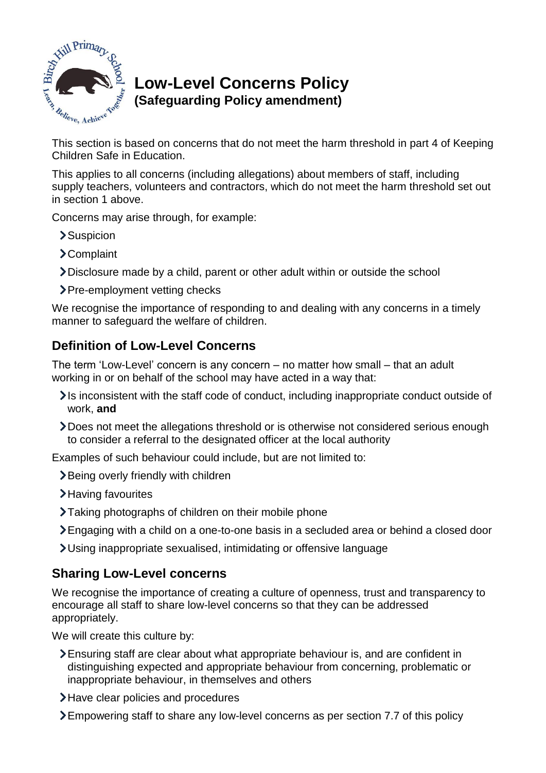

# **Low-Level Concerns Policy (Safeguarding Policy amendment)**  This section is based on concerns that do not meet the harm threshold in part 4 of Keeping<br>This section is based on concerns that do not meet the harm threshold in part 4 of Keeping

Children Safe in Education.

This applies to all concerns (including allegations) about members of staff, including supply teachers, volunteers and contractors, which do not meet the harm threshold set out in section 1 above.

Concerns may arise through, for example:

- >Suspicion
- Complaint
- Disclosure made by a child, parent or other adult within or outside the school
- > Pre-employment vetting checks

We recognise the importance of responding to and dealing with any concerns in a timely manner to safeguard the welfare of children.

## **Definition of Low-Level Concerns**

The term 'Low-Level' concern is any concern – no matter how small – that an adult working in or on behalf of the school may have acted in a way that:

- It inconsistent with the staff code of conduct, including inappropriate conduct outside of work, **and**
- Does not meet the allegations threshold or is otherwise not considered serious enough to consider a referral to the designated officer at the local authority

Examples of such behaviour could include, but are not limited to:

- **>**Being overly friendly with children
- >Having favourites
- Taking photographs of children on their mobile phone
- Engaging with a child on a one-to-one basis in a secluded area or behind a closed door
- Using inappropriate sexualised, intimidating or offensive language

### **Sharing Low-Level concerns**

We recognise the importance of creating a culture of openness, trust and transparency to encourage all staff to share low-level concerns so that they can be addressed appropriately.

We will create this culture by:

- Ensuring staff are clear about what appropriate behaviour is, and are confident in distinguishing expected and appropriate behaviour from concerning, problematic or inappropriate behaviour, in themselves and others
- > Have clear policies and procedures
- Empowering staff to share any low-level concerns as per section 7.7 of this policy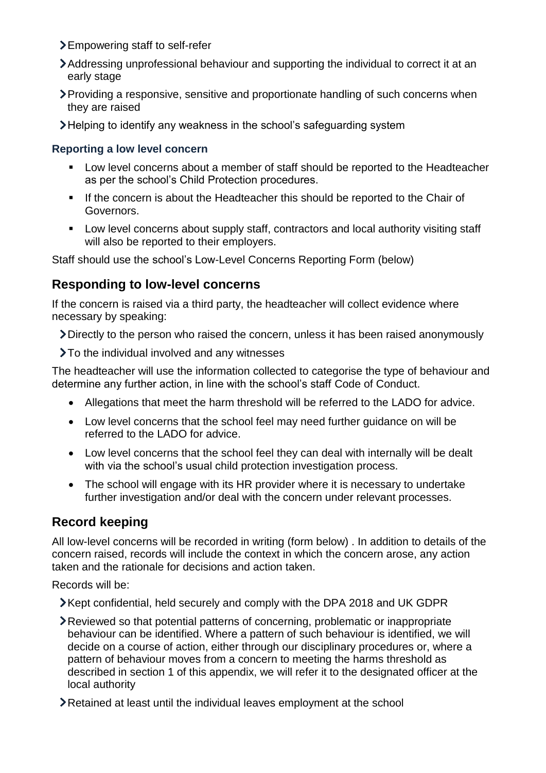- Empowering staff to self-refer
- Addressing unprofessional behaviour and supporting the individual to correct it at an early stage
- Providing a responsive, sensitive and proportionate handling of such concerns when they are raised
- Helping to identify any weakness in the school's safeguarding system

#### **Reporting a low level concern**

- **Low level concerns about a member of staff should be reported to the Headteacher** as per the school's Child Protection procedures.
- If the concern is about the Headteacher this should be reported to the Chair of Governors.
- **Low level concerns about supply staff, contractors and local authority visiting staff** will also be reported to their employers.

Staff should use the school's Low-Level Concerns Reporting Form (below)

#### **Responding to low-level concerns**

If the concern is raised via a third party, the headteacher will collect evidence where necessary by speaking:

Directly to the person who raised the concern, unless it has been raised anonymously

>To the individual involved and any witnesses

The headteacher will use the information collected to categorise the type of behaviour and determine any further action, in line with the school's staff Code of Conduct.

- Allegations that meet the harm threshold will be referred to the LADO for advice.
- Low level concerns that the school feel may need further guidance on will be referred to the LADO for advice.
- Low level concerns that the school feel they can deal with internally will be dealt with via the school's usual child protection investigation process.
- The school will engage with its HR provider where it is necessary to undertake further investigation and/or deal with the concern under relevant processes.

### **Record keeping**

All low-level concerns will be recorded in writing (form below) . In addition to details of the concern raised, records will include the context in which the concern arose, any action taken and the rationale for decisions and action taken.

Records will be:

**EXA** Kept confidential, held securely and comply with the DPA 2018 and UK GDPR

- Reviewed so that potential patterns of concerning, problematic or inappropriate behaviour can be identified. Where a pattern of such behaviour is identified, we will decide on a course of action, either through our disciplinary procedures or, where a pattern of behaviour moves from a concern to meeting the harms threshold as described in section 1 of this appendix, we will refer it to the designated officer at the local authority
- Retained at least until the individual leaves employment at the school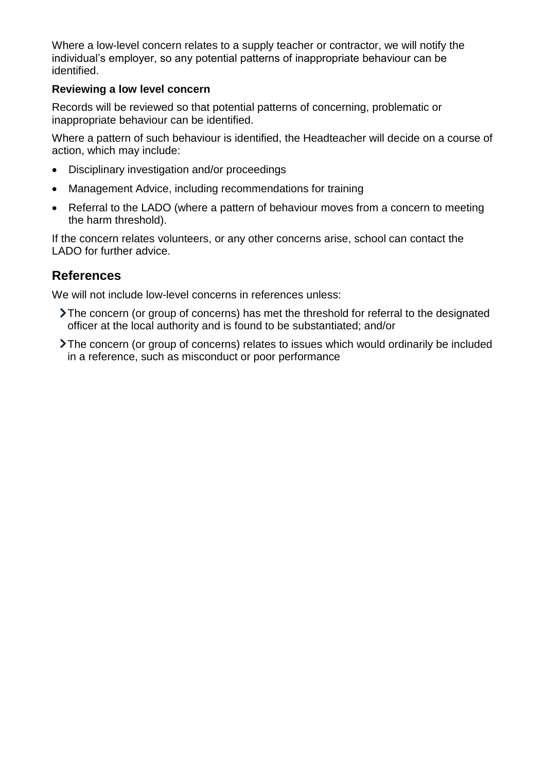Where a low-level concern relates to a supply teacher or contractor, we will notify the individual's employer, so any potential patterns of inappropriate behaviour can be identified.

#### **Reviewing a low level concern**

Records will be reviewed so that potential patterns of concerning, problematic or inappropriate behaviour can be identified.

Where a pattern of such behaviour is identified, the Headteacher will decide on a course of action, which may include:

- Disciplinary investigation and/or proceedings
- Management Advice, including recommendations for training
- Referral to the LADO (where a pattern of behaviour moves from a concern to meeting the harm threshold).

If the concern relates volunteers, or any other concerns arise, school can contact the LADO for further advice.

#### **References**

We will not include low-level concerns in references unless:

- The concern (or group of concerns) has met the threshold for referral to the designated officer at the local authority and is found to be substantiated; and/or
- The concern (or group of concerns) relates to issues which would ordinarily be included in a reference, such as misconduct or poor performance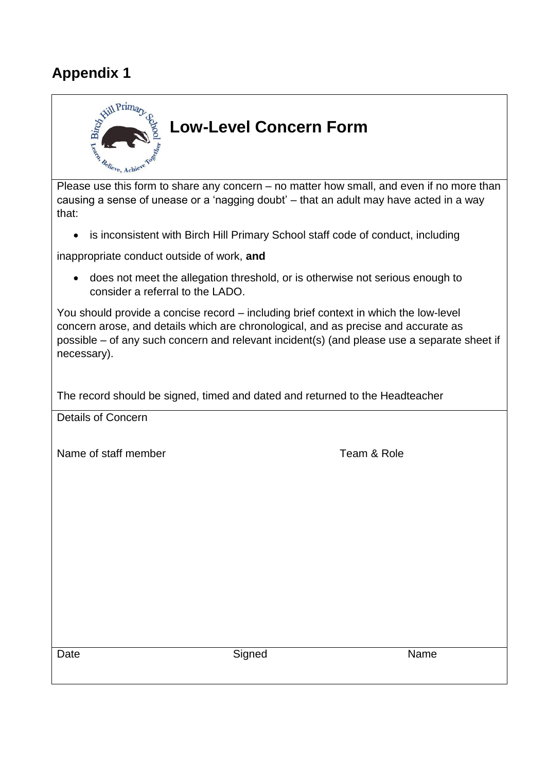## **Appendix 1**



Please use this form to share any concern – no matter how small, and even if no more than causing a sense of unease or a 'nagging doubt' – that an adult may have acted in a way that:

• is inconsistent with Birch Hill Primary School staff code of conduct, including

inappropriate conduct outside of work, **and**

 does not meet the allegation threshold, or is otherwise not serious enough to consider a referral to the LADO.

You should provide a concise record – including brief context in which the low-level concern arose, and details which are chronological, and as precise and accurate as possible – of any such concern and relevant incident(s) (and please use a separate sheet if necessary).

The record should be signed, timed and dated and returned to the Headteacher

Details of Concern

Name of staff member **Team & Role** 

Date **Name** Signed **Name** Signed **Name**